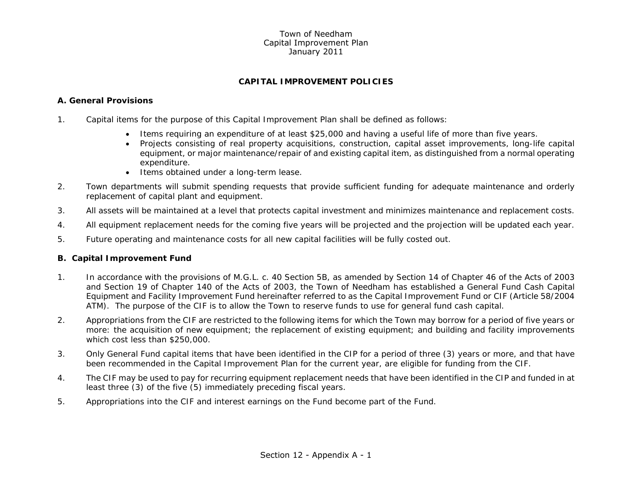#### Town of NeedhamCapital Improvement Plan January 2011

# **CAPITAL IMPROVEMENT POLICIES**

# **A. General Provisions**

- 1. Capital items for the purpose of this Capital Improvement Plan shall be defined as follows:
	- Items requiring an expenditure of at least \$25,000 and having a useful life of more than five years.
	- Projects consisting of real property acquisitions, construction, capital asset improvements, long-life capital equipment, or major maintenance/repair of and existing capital item, as distinguished from a normal operating expenditure.
	- Items obtained under a long-term lease.
- 2. Town departments will submit spending requests that provide sufficient funding for adequate maintenance and orderly replacement of capital plant and equipment.
- 3. All assets will be maintained at a level that protects capital investment and minimizes maintenance and replacement costs.
- 4. All equipment replacement needs for the coming five years will be projected and the projection will be updated each year.
- 5. Future operating and maintenance costs for all new capital facilities will be fully costed out.

#### **B. Capital Improvement Fund**

- 1. In accordance with the provisions of M.G.L. c. 40 Section 5B, as amended by Section 14 of Chapter 46 of the Acts of 2003 and Section 19 of Chapter 140 of the Acts of 2003, the Town of Needham has established a General Fund Cash Capital Equipment and Facility Improvement Fund hereinafter referred to as the Capital Improvement Fund or CIF (Article 58/2004 ATM). The purpose of the CIF is to allow the Town to reserve funds to use for general fund cash capital.
- 2. Appropriations from the CIF are restricted to the following items for which the Town may borrow for a period of five years or more: the acquisition of new equipment; the replacement of existing equipment; and building and facility improvements which cost less than \$250,000.
- 3. Only General Fund capital items that have been identified in the CIP for a period of three (3) years or more, and that have been recommended in the Capital Improvement Plan for the current year, are eligible for funding from the CIF.
- 4. The CIF may be used to pay for recurring equipment replacement needs that have been identified in the CIP and funded in at least three (3) of the five (5) immediately preceding fiscal years.
- 5. Appropriations into the CIF and interest earnings on the Fund become part of the Fund.